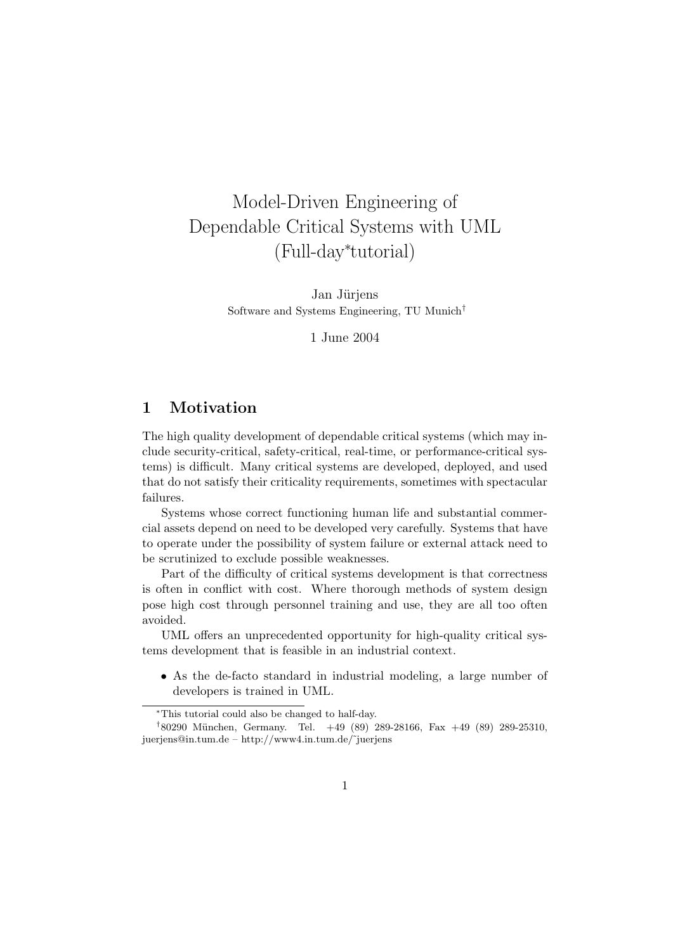# Model-Driven Engineering of Dependable Critical Systems with UML (Full-day<sup>∗</sup> tutorial)

Jan Jürjens Software and Systems Engineering, TU Munich†

1 June 2004

# 1 Motivation

The high quality development of dependable critical systems (which may include security-critical, safety-critical, real-time, or performance-critical systems) is difficult. Many critical systems are developed, deployed, and used that do not satisfy their criticality requirements, sometimes with spectacular failures.

Systems whose correct functioning human life and substantial commercial assets depend on need to be developed very carefully. Systems that have to operate under the possibility of system failure or external attack need to be scrutinized to exclude possible weaknesses.

Part of the difficulty of critical systems development is that correctness is often in conflict with cost. Where thorough methods of system design pose high cost through personnel training and use, they are all too often avoided.

UML offers an unprecedented opportunity for high-quality critical systems development that is feasible in an industrial context.

• As the de-facto standard in industrial modeling, a large number of developers is trained in UML.

<sup>∗</sup>This tutorial could also be changed to half-day.

<sup>&</sup>lt;sup>†</sup>80290 München, Germany. Tel. +49 (89) 289-28166, Fax +49 (89) 289-25310, juerjens@in.tum.de – http://www4.in.tum.de/˜juerjens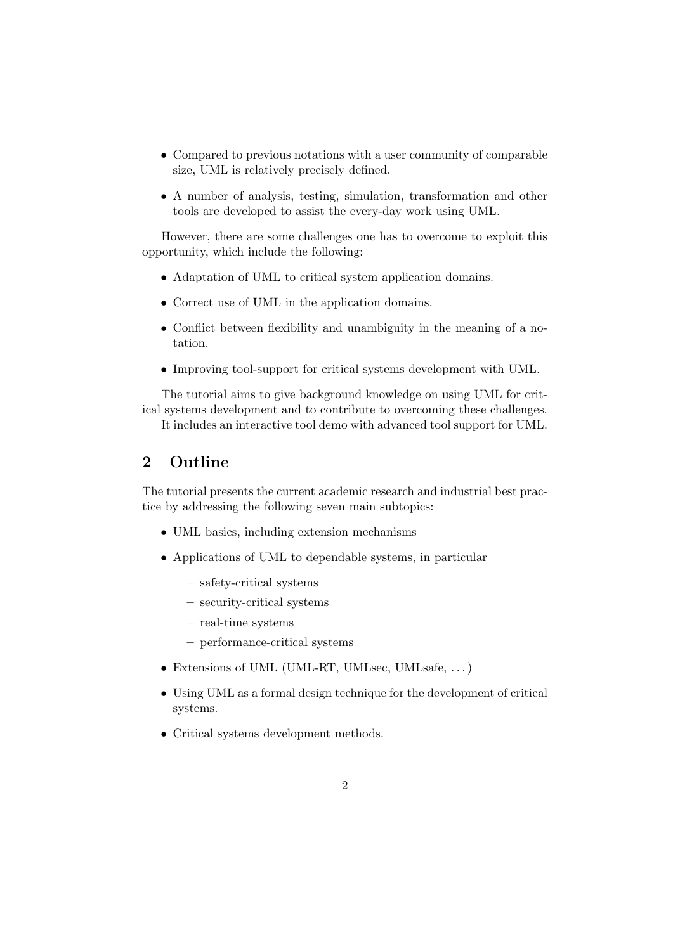- Compared to previous notations with a user community of comparable size, UML is relatively precisely defined.
- A number of analysis, testing, simulation, transformation and other tools are developed to assist the every-day work using UML.

However, there are some challenges one has to overcome to exploit this opportunity, which include the following:

- Adaptation of UML to critical system application domains.
- Correct use of UML in the application domains.
- Conflict between flexibility and unambiguity in the meaning of a notation.
- Improving tool-support for critical systems development with UML.

The tutorial aims to give background knowledge on using UML for critical systems development and to contribute to overcoming these challenges.

It includes an interactive tool demo with advanced tool support for UML.

# 2 Outline

The tutorial presents the current academic research and industrial best practice by addressing the following seven main subtopics:

- UML basics, including extension mechanisms
- Applications of UML to dependable systems, in particular
	- safety-critical systems
	- security-critical systems
	- real-time systems
	- performance-critical systems
- Extensions of UML (UML-RT, UMLsec, UMLsafe, . . . )
- Using UML as a formal design technique for the development of critical systems.
- Critical systems development methods.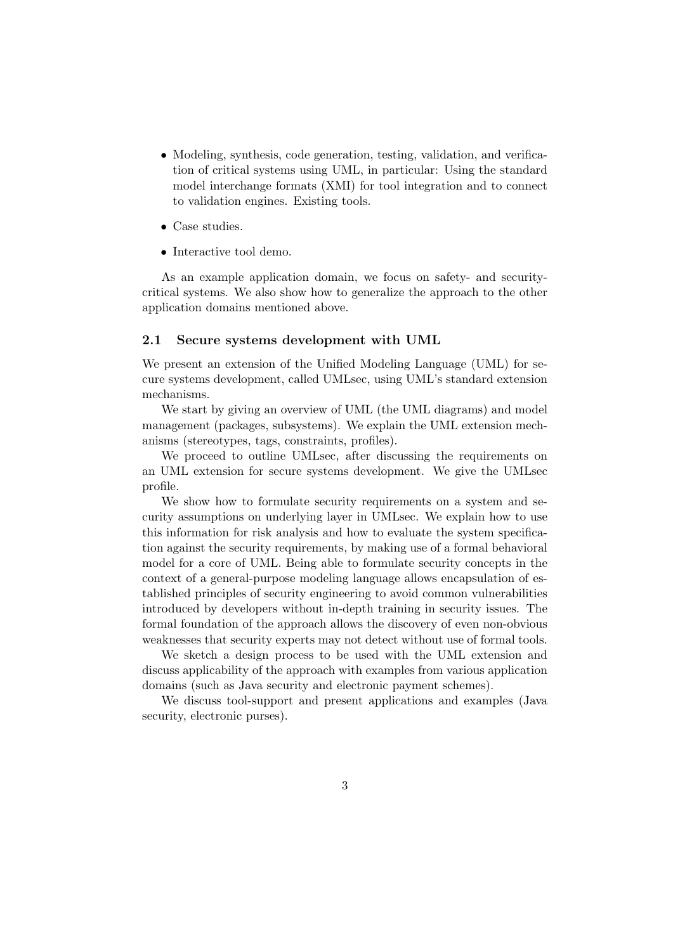- Modeling, synthesis, code generation, testing, validation, and verification of critical systems using UML, in particular: Using the standard model interchange formats (XMI) for tool integration and to connect to validation engines. Existing tools.
- Case studies.
- Interactive tool demo.

As an example application domain, we focus on safety- and securitycritical systems. We also show how to generalize the approach to the other application domains mentioned above.

#### 2.1 Secure systems development with UML

We present an extension of the Unified Modeling Language (UML) for secure systems development, called UMLsec, using UML's standard extension mechanisms.

We start by giving an overview of UML (the UML diagrams) and model management (packages, subsystems). We explain the UML extension mechanisms (stereotypes, tags, constraints, profiles).

We proceed to outline UMLsec, after discussing the requirements on an UML extension for secure systems development. We give the UMLsec profile.

We show how to formulate security requirements on a system and security assumptions on underlying layer in UMLsec. We explain how to use this information for risk analysis and how to evaluate the system specification against the security requirements, by making use of a formal behavioral model for a core of UML. Being able to formulate security concepts in the context of a general-purpose modeling language allows encapsulation of established principles of security engineering to avoid common vulnerabilities introduced by developers without in-depth training in security issues. The formal foundation of the approach allows the discovery of even non-obvious weaknesses that security experts may not detect without use of formal tools.

We sketch a design process to be used with the UML extension and discuss applicability of the approach with examples from various application domains (such as Java security and electronic payment schemes).

We discuss tool-support and present applications and examples (Java security, electronic purses).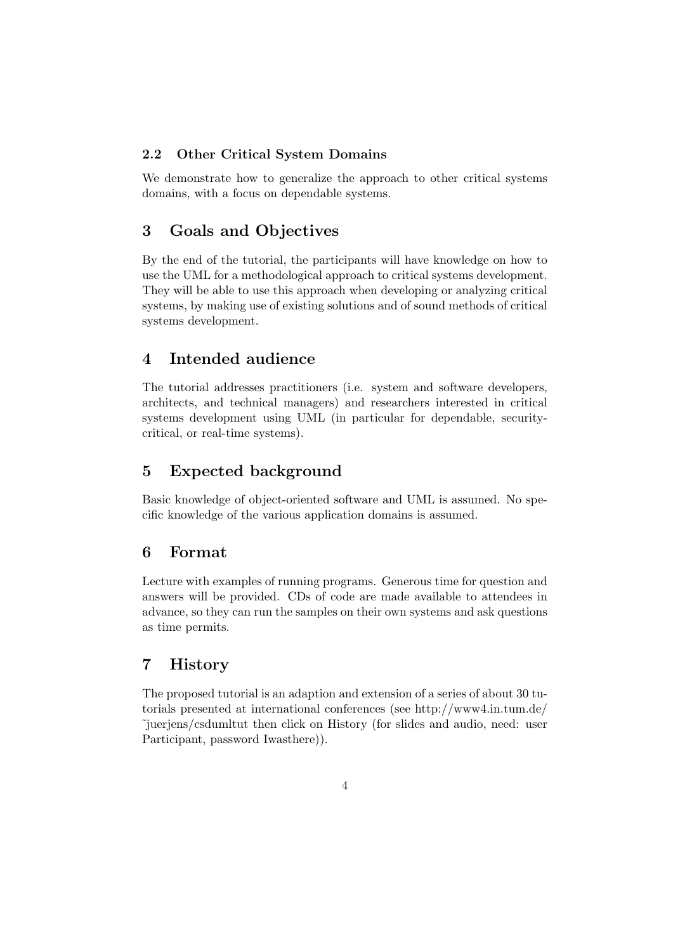#### 2.2 Other Critical System Domains

We demonstrate how to generalize the approach to other critical systems domains, with a focus on dependable systems.

### 3 Goals and Objectives

By the end of the tutorial, the participants will have knowledge on how to use the UML for a methodological approach to critical systems development. They will be able to use this approach when developing or analyzing critical systems, by making use of existing solutions and of sound methods of critical systems development.

### 4 Intended audience

The tutorial addresses practitioners (i.e. system and software developers, architects, and technical managers) and researchers interested in critical systems development using UML (in particular for dependable, securitycritical, or real-time systems).

### 5 Expected background

Basic knowledge of object-oriented software and UML is assumed. No specific knowledge of the various application domains is assumed.

#### 6 Format

Lecture with examples of running programs. Generous time for question and answers will be provided. CDs of code are made available to attendees in advance, so they can run the samples on their own systems and ask questions as time permits.

# 7 History

The proposed tutorial is an adaption and extension of a series of about 30 tutorials presented at international conferences (see http://www4.in.tum.de/ ˜juerjens/csdumltut then click on History (for slides and audio, need: user Participant, password Iwasthere)).